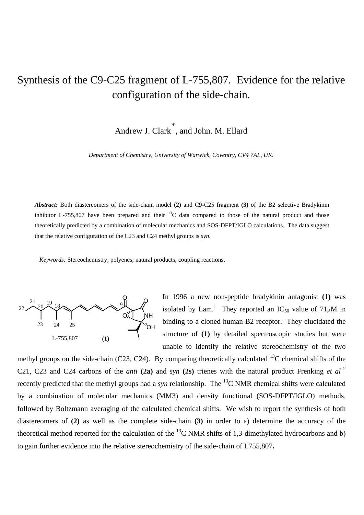# Synthesis of the C9-C25 fragment of L-755,807. Evidence for the relative configuration of the side-chain.

Andrew J. Clark \* , and John. M. Ellard

*Department of Chemistry, University of Warwick, Coventry, CV4 7AL, UK.* 

*Abstract:* Both diastereomers of the side-chain model **(2)** and C9-C25 fragment **(3)** of the B2 selective Bradykinin inhibitor L-755,807 have been prepared and their  $^{13}$ C data compared to those of the natural product and those theoretically predicted by a combination of molecular mechanics and SOS-DFPT/IGLO calculations. The data suggest that the relative configuration of the C23 and C24 methyl groups is *syn*.

*Keywords:* Stereochemistry; polyenes; natural products; coupling reactions.



In 1996 a new non-peptide bradykinin antagonist **(1)** was isolated by Lam.<sup>1</sup> They reported an IC<sub>50</sub> value of  $71 \mu M$  in binding to a cloned human B2 receptor. They elucidated the structure of **(1)** by detailed spectroscopic studies but were unable to identify the relative stereochemistry of the two

methyl groups on the side-chain (C23, C24). By comparing theoretically calculated  $^{13}$ C chemical shifts of the C21, C23 and C24 carbons of the *anti* (2a) and *syn* (2s) trienes with the natural product Frenking *et al*<sup>2</sup> recently predicted that the methyl groups had a *syn* relationship. The 13C NMR chemical shifts were calculated by a combination of molecular mechanics (MM3) and density functional (SOS-DFPT/IGLO) methods, followed by Boltzmann averaging of the calculated chemical shifts. We wish to report the synthesis of both diastereomers of **(2)** as well as the complete side-chain **(3)** in order to a) determine the accuracy of the theoretical method reported for the calculation of the  $^{13}$ C NMR shifts of 1,3-dimethylated hydrocarbons and b) to gain further evidence into the relative stereochemistry of the side-chain of L755,807**.**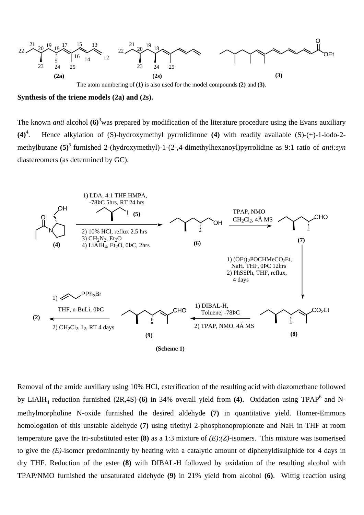

**Synthesis of the triene models (2a) and (2s).** 

The known *anti* alcohol (6)<sup>3</sup> was prepared by modification of the literature procedure using the Evans auxiliary  $(4)^4$ . . Hence alkylation of (S)-hydroxymethyl pyrrolidinone **(4)** with readily available (S)-(+)-1-iodo-2 methylbutane **(5)**5 furnished 2-(hydroxymethyl)-1-(2-,4-dimethylhexanoyl)pyrrolidine as 9:1 ratio of *anti:syn* diastereomers (as determined by GC).



Removal of the amide auxiliary using 10% HCl, esterification of the resulting acid with diazomethane followed by LiAlH<sub>4</sub> reduction furnished (2R,4S)-(6) in 34% overall yield from (4). Oxidation using TPAP<sup>6</sup> and Nmethylmorpholine N-oxide furnished the desired aldehyde **(7)** in quantitative yield. Horner-Emmons homologation of this unstable aldehyde **(7)** using triethyl 2-phosphonopropionate and NaH in THF at room temperature gave the tri-substituted ester **(8)** as a 1:3 mixture of *(E)*:*(Z)*-isomers. This mixture was isomerised to give the *(E)*-isomer predominantly by heating with a catalytic amount of diphenyldisulphide for 4 days in dry THF. Reduction of the ester **(8)** with DIBAL-H followed by oxidation of the resulting alcohol with TPAP/NMO furnished the unsaturated aldehyde **(9)** in 21% yield from alcohol **(6)**. Wittig reaction using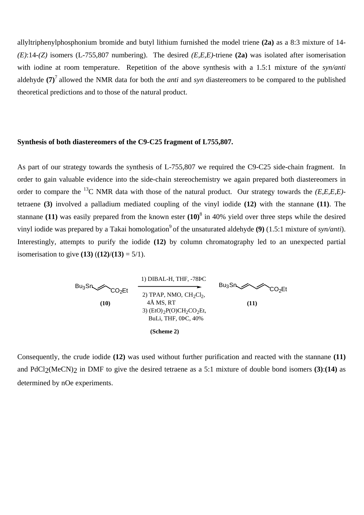allyltriphenylphosphonium bromide and butyl lithium furnished the model triene **(2a)** as a 8:3 mixture of 14- *(E)*:14-*(Z)* isomers (L-755,807 numbering). The desired *(E,E,E)*-triene **(2a)** was isolated after isomerisation with iodine at room temperature. Repetition of the above synthesis with a 1.5:1 mixture of the *syn/anti* aldehyde **(7)**7 allowed the NMR data for both the *anti* and *syn* diastereomers to be compared to the published theoretical predictions and to those of the natural product.

#### **Synthesis of both diastereomers of the C9-C25 fragment of L755,807.**

As part of our strategy towards the synthesis of L-755,807 we required the C9-C25 side-chain fragment. In order to gain valuable evidence into the side-chain stereochemistry we again prepared both diastereomers in order to compare the 13C NMR data with those of the natural product. Our strategy towards the *(E,E,E,E)* tetraene **(3)** involved a palladium mediated coupling of the vinyl iodide **(12)** with the stannane **(11)**. The stannane **(11)** was easily prepared from the known ester **(10)**<sup>8</sup> in 40% yield over three steps while the desired vinyl iodide was prepared by a Takai homologation<sup>9</sup> of the unsaturated aldehyde **(9)** (1.5:1 mixture of *syn/anti*). Interestingly, attempts to purify the iodide **(12)** by column chromatography led to an unexpected partial isomerisation to give **(13)**  $((12)/(13) = 5/1)$ .



Consequently, the crude iodide **(12)** was used without further purification and reacted with the stannane **(11)**  and PdCl2(MeCN)2 in DMF to give the desired tetraene as a 5:1 mixture of double bond isomers **(3)**:**(14)** as determined by nOe experiments.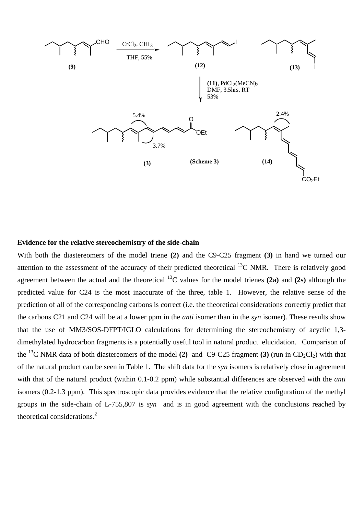

### **Evidence for the relative stereochemistry of the side-chain**

With both the diastereomers of the model triene **(2)** and the C9-C25 fragment **(3)** in hand we turned our attention to the assessment of the accuracy of their predicted theoretical  $^{13}$ C NMR. There is relatively good agreement between the actual and the theoretical 13C values for the model trienes **(2a)** and **(2s)** although the predicted value for C24 is the most inaccurate of the three, table 1. However, the relative sense of the prediction of all of the corresponding carbons is correct (i.e. the theoretical considerations correctly predict that the carbons C21 and C24 will be at a lower ppm in the *anti* isomer than in the *syn* isomer). These results show that the use of MM3/SOS-DFPT/IGLO calculations for determining the stereochemistry of acyclic 1,3 dimethylated hydrocarbon fragments is a potentially useful tool in natural product elucidation. Comparison of the <sup>13</sup>C NMR data of both diastereomers of the model **(2)** and C9-C25 fragment **(3)** (run in CD<sub>2</sub>Cl<sub>2</sub>) with that of the natural product can be seen in Table 1. The shift data for the *syn* isomers is relatively close in agreement with that of the natural product (within 0.1-0.2 ppm) while substantial differences are observed with the *anti* isomers (0.2-1.3 ppm). This spectroscopic data provides evidence that the relative configuration of the methyl groups in the side-chain of L-755,807 is *syn* and is in good agreement with the conclusions reached by theoretical considerations.2